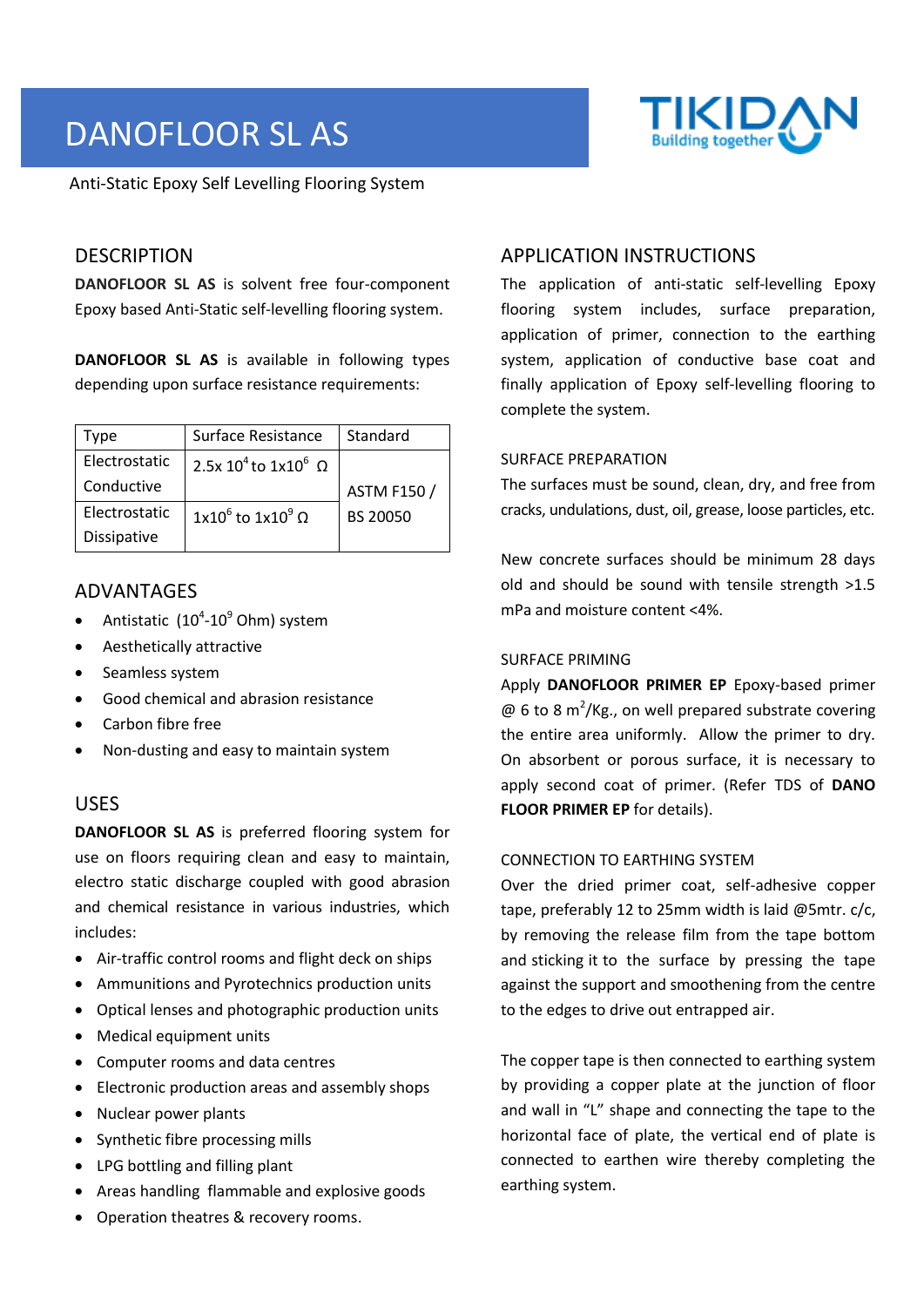# DANOFLOOR SL AS

Anti-Static Epoxy Self Levelling Flooring System

# **DESCRIPTION**

**DANOFLOOR SL AS** is solvent free four-component Epoxy based Anti-Static self-levelling flooring system.

**DANOFLOOR SL AS** is available in following types depending upon surface resistance requirements:

| Type               | Surface Resistance                                 | Standard           |  |
|--------------------|----------------------------------------------------|--------------------|--|
| Electrostatic      | 2.5x 10 <sup>4</sup> to 1x10 <sup>6</sup> $\Omega$ |                    |  |
| Conductive         |                                                    | <b>ASTM F150 /</b> |  |
| Electrostatic      | $1x10^6$ to $1x10^9$ $\Omega$                      | BS 20050           |  |
| <b>Dissipative</b> |                                                    |                    |  |

# ADVANTAGES

- Antistatic  $(10^4 \text{-} 10^9 \text{ Ohm})$  system
- Aesthetically attractive
- Seamless system
- Good chemical and abrasion resistance
- Carbon fibre free
- Non-dusting and easy to maintain system

### USES

**DANOFLOOR SL AS** is preferred flooring system for use on floors requiring clean and easy to maintain, electro static discharge coupled with good abrasion and chemical resistance in various industries, which includes:

- Air-traffic control rooms and flight deck on ships
- Ammunitions and Pyrotechnics production units
- Optical lenses and photographic production units
- Medical equipment units
- Computer rooms and data centres
- Electronic production areas and assembly shops
- Nuclear power plants
- Synthetic fibre processing mills
- LPG bottling and filling plant
- Areas handling flammable and explosive goods
- Operation theatres & recovery rooms.

# APPLICATION INSTRUCTIONS

The application of anti-static self-levelling Epoxy flooring system includes, surface preparation, application of primer, connection to the earthing system, application of conductive base coat and finally application of Epoxy self-levelling flooring to complete the system.

#### SURFACE PREPARATION

The surfaces must be sound, clean, dry, and free from cracks, undulations, dust, oil, grease, loose particles, etc.

New concrete surfaces should be minimum 28 days old and should be sound with tensile strength >1.5 mPa and moisture content <4%.

#### SURFACE PRIMING

Apply **DANOFLOOR PRIMER EP** Epoxy-based primer  $\omega$  6 to 8 m<sup>2</sup>/Kg., on well prepared substrate covering the entire area uniformly. Allow the primer to dry. On absorbent or porous surface, it is necessary to apply second coat of primer. (Refer TDS of **DANO FLOOR PRIMER EP** for details).

### CONNECTION TO EARTHING SYSTEM

Over the dried primer coat, self-adhesive copper tape, preferably 12 to 25mm width is laid @5mtr. c/c, by removing the release film from the tape bottom and sticking it to the surface by pressing the tape against the support and smoothening from the centre to the edges to drive out entrapped air.

The copper tape is then connected to earthing system by providing a copper plate at the junction of floor and wall in "L" shape and connecting the tape to the horizontal face of plate, the vertical end of plate is connected to earthen wire thereby completing the earthing system.

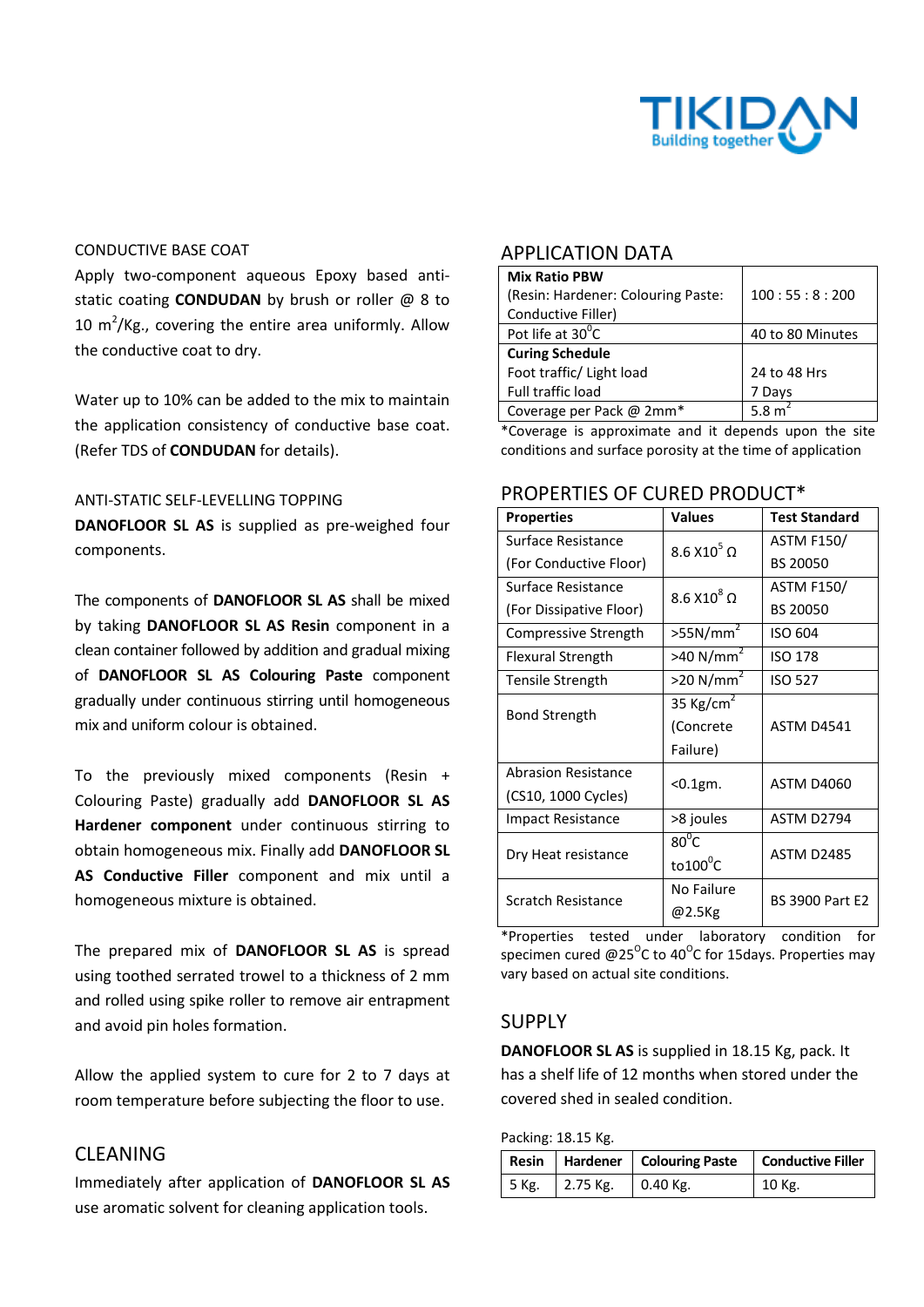

#### CONDUCTIVE BASE COAT

Apply two-component aqueous Epoxy based antistatic coating **CONDUDAN** by brush or roller @ 8 to 10  $m^2$ /Kg., covering the entire area uniformly. Allow the conductive coat to dry.

Water up to 10% can be added to the mix to maintain the application consistency of conductive base coat. (Refer TDS of **CONDUDAN** for details).

#### ANTI-STATIC SELF-LEVELLING TOPPING

**DANOFLOOR SL AS** is supplied as pre-weighed four components.

The components of **DANOFLOOR SL AS** shall be mixed by taking **DANOFLOOR SL AS Resin** component in a clean container followed by addition and gradual mixing of **DANOFLOOR SL AS Colouring Paste** component gradually under continuous stirring until homogeneous mix and uniform colour is obtained.

To the previously mixed components (Resin + Colouring Paste) gradually add **DANOFLOOR SL AS Hardener component** under continuous stirring to obtain homogeneous mix. Finally add **DANOFLOOR SL AS Conductive Filler** component and mix until a homogeneous mixture is obtained.

The prepared mix of **DANOFLOOR SL AS** is spread using toothed serrated trowel to a thickness of 2 mm and rolled using spike roller to remove air entrapment and avoid pin holes formation.

Allow the applied system to cure for 2 to 7 days at room temperature before subjecting the floor to use.

# CLEANING

Immediately after application of **DANOFLOOR SL AS** use aromatic solvent for cleaning application tools.

### APPLICATION DATA

| <b>Mix Ratio PBW</b>               |                    |  |
|------------------------------------|--------------------|--|
| (Resin: Hardener: Colouring Paste: | 100:55:8:200       |  |
| Conductive Filler)                 |                    |  |
| Pot life at 30°C                   | 40 to 80 Minutes   |  |
| <b>Curing Schedule</b>             |                    |  |
| Foot traffic/ Light load           | 24 to 48 Hrs       |  |
| <b>Full traffic load</b>           | 7 Days             |  |
| Coverage per Pack @ 2mm*           | 5.8 m <sup>2</sup> |  |

\*Coverage is approximate and it depends upon the site conditions and surface porosity at the time of application

### PROPERTIES OF CURED PRODUCT\*

| <b>Properties</b>          | <b>Values</b>           | <b>Test Standard</b>   |  |
|----------------------------|-------------------------|------------------------|--|
| Surface Resistance         | $8.6$ X10 $^5$ $\Omega$ | <b>ASTM F150/</b>      |  |
| (For Conductive Floor)     |                         | BS 20050               |  |
| Surface Resistance         | $8.6$ X10 $^8$ $\Omega$ | <b>ASTM F150/</b>      |  |
| (For Dissipative Floor)    |                         | BS 20050               |  |
| Compressive Strength       | >55N/mm <sup>2</sup>    | ISO 604                |  |
| Flexural Strength          | $>40$ N/mm <sup>2</sup> | <b>ISO 178</b>         |  |
| Tensile Strength           | $>$ 20 N/mm $2$         | <b>ISO 527</b>         |  |
| <b>Bond Strength</b>       | 35 Kg/cm <sup>2</sup>   |                        |  |
|                            | (Concrete               | <b>ASTM D4541</b>      |  |
|                            | Failure)                |                        |  |
| <b>Abrasion Resistance</b> |                         | <b>ASTM D4060</b>      |  |
| (CS10, 1000 Cycles)        | $0.1gm$ .               |                        |  |
| <b>Impact Resistance</b>   | >8 joules               | ASTM D2794             |  |
|                            | $80^0$ C                | ASTM D2485             |  |
| Dry Heat resistance        | $to 100^{\circ}C$       |                        |  |
| Scratch Resistance         | No Failure              | <b>BS 3900 Part E2</b> |  |
|                            | @2.5Kg                  |                        |  |

\*Properties tested under laboratory condition for specimen cured @25 $^{\circ}$ C to 40 $^{\circ}$ C for 15days. Properties may vary based on actual site conditions.

### SUPPLY

**DANOFLOOR SL AS** is supplied in 18.15 Kg, pack. It has a shelf life of 12 months when stored under the covered shed in sealed condition.

Packing: 18.15 Kg.

|       |                  | Resin   Hardener   Colouring Paste   Conductive Filler |          |
|-------|------------------|--------------------------------------------------------|----------|
| 5 Kg. | $\vert$ 2.75 Kg. | $0.40$ Kg.                                             | $10$ Kg. |